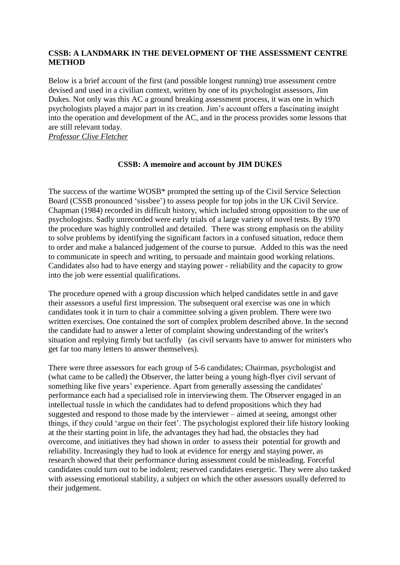## **CSSB: A LANDMARK IN THE DEVELOPMENT OF THE ASSESSMENT CENTRE METHOD**

Below is a brief account of the first (and possible longest running) true assessment centre devised and used in a civilian context, written by one of its psychologist assessors, Jim Dukes. Not only was this AC a ground breaking assessment process, it was one in which psychologists played a major part in its creation. Jim's account offers a fascinating insight into the operation and development of the AC, and in the process provides some lessons that are still relevant today.

*Professor Clive Fletcher*

## **CSSB: A memoire and account by JIM DUKES**

The success of the wartime WOSB\* prompted the setting up of the Civil Service Selection Board (CSSB pronounced 'sissbee') to assess people for top jobs in the UK Civil Service. Chapman (1984) recorded its difficult history, which included strong opposition to the use of psychologists. Sadly unrecorded were early trials of a large variety of novel tests. By 1970 the procedure was highly controlled and detailed. There was strong emphasis on the ability to solve problems by identifying the significant factors in a confused situation, reduce them to order and make a balanced judgement of the course to pursue. Added to this was the need to communicate in speech and writing, to persuade and maintain good working relations. Candidates also had to have energy and staying power - reliability and the capacity to grow into the job were essential qualifications.

The procedure opened with a group discussion which helped candidates settle in and gave their assessors a useful first impression. The subsequent oral exercise was one in which candidates took it in turn to chair a committee solving a given problem. There were two written exercises. One contained the sort of complex problem described above. In the second the candidate had to answer a letter of complaint showing understanding of the writer's situation and replying firmly but tactfully (as civil servants have to answer for ministers who get far too many letters to answer themselves).

There were three assessors for each group of 5-6 candidates; Chairman, psychologist and (what came to be called) the Observer, the latter being a young high-flyer civil servant of something like five years' experience. Apart from generally assessing the candidates' performance each had a specialised role in interviewing them. The Observer engaged in an intellectual tussle in which the candidates had to defend propositions which they had suggested and respond to those made by the interviewer – aimed at seeing, amongst other things, if they could 'argue on their feet'. The psychologist explored their life history looking at the their starting point in life, the advantages they had had, the obstacles they had overcome, and initiatives they had shown in order to assess their potential for growth and reliability. Increasingly they had to look at evidence for energy and staying power, as research showed that their performance during assessment could be misleading. Forceful candidates could turn out to be indolent; reserved candidates energetic. They were also tasked with assessing emotional stability, a subject on which the other assessors usually deferred to their judgement.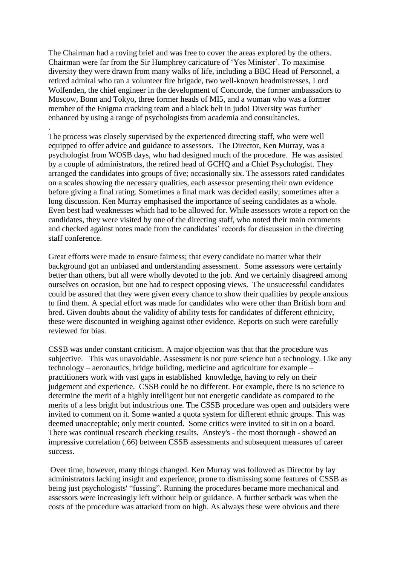The Chairman had a roving brief and was free to cover the areas explored by the others. Chairman were far from the Sir Humphrey caricature of 'Yes Minister'. To maximise diversity they were drawn from many walks of life, including a BBC Head of Personnel, a retired admiral who ran a volunteer fire brigade, two well-known headmistresses, Lord Wolfenden, the chief engineer in the development of Concorde, the former ambassadors to Moscow, Bonn and Tokyo, three former heads of MI5, and a woman who was a former member of the Enigma cracking team and a black belt in judo! Diversity was further enhanced by using a range of psychologists from academia and consultancies.

.

The process was closely supervised by the experienced directing staff, who were well equipped to offer advice and guidance to assessors. The Director, Ken Murray, was a psychologist from WOSB days, who had designed much of the procedure. He was assisted by a couple of administrators, the retired head of GCHQ and a Chief Psychologist. They arranged the candidates into groups of five; occasionally six. The assessors rated candidates on a scales showing the necessary qualities, each assessor presenting their own evidence before giving a final rating. Sometimes a final mark was decided easily; sometimes after a long discussion. Ken Murray emphasised the importance of seeing candidates as a whole. Even best had weaknesses which had to be allowed for. While assessors wrote a report on the candidates, they were visited by one of the directing staff, who noted their main comments and checked against notes made from the candidates' records for discussion in the directing staff conference.

Great efforts were made to ensure fairness; that every candidate no matter what their background got an unbiased and understanding assessment. Some assessors were certainly better than others, but all were wholly devoted to the job. And we certainly disagreed among ourselves on occasion, but one had to respect opposing views. The unsuccessful candidates could be assured that they were given every chance to show their qualities by people anxious to find them. A special effort was made for candidates who were other than British born and bred. Given doubts about the validity of ability tests for candidates of different ethnicity, these were discounted in weighing against other evidence. Reports on such were carefully reviewed for bias.

CSSB was under constant criticism. A major objection was that that the procedure was subjective. This was unavoidable. Assessment is not pure science but a technology. Like any technology – aeronautics, bridge building, medicine and agriculture for example – practitioners work with vast gaps in established knowledge, having to rely on their judgement and experience. CSSB could be no different. For example, there is no science to determine the merit of a highly intelligent but not energetic candidate as compared to the merits of a less bright but industrious one. The CSSB procedure was open and outsiders were invited to comment on it. Some wanted a quota system for different ethnic groups. This was deemed unacceptable; only merit counted. Some critics were invited to sit in on a board. There was continual research checking results. Anstey's - the most thorough - showed an impressive correlation (.66) between CSSB assessments and subsequent measures of career success.

Over time, however, many things changed. Ken Murray was followed as Director by lay administrators lacking insight and experience, prone to dismissing some features of CSSB as being just psychologists' "fussing". Running the procedures became more mechanical and assessors were increasingly left without help or guidance. A further setback was when the costs of the procedure was attacked from on high. As always these were obvious and there